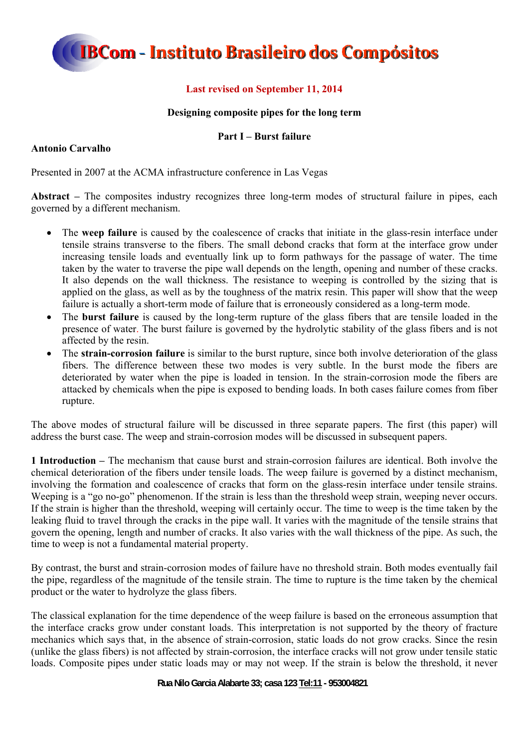### **Last revised on September 11, 2014**

### **Designing composite pipes for the long term**

### **Part I – Burst failure**

### **Antonio Carvalho**

Presented in 2007 at the ACMA infrastructure conference in Las Vegas

**Abstract –** The composites industry recognizes three long-term modes of structural failure in pipes, each governed by a different mechanism.

- The **weep failure** is caused by the coalescence of cracks that initiate in the glass-resin interface under tensile strains transverse to the fibers. The small debond cracks that form at the interface grow under increasing tensile loads and eventually link up to form pathways for the passage of water. The time taken by the water to traverse the pipe wall depends on the length, opening and number of these cracks. It also depends on the wall thickness. The resistance to weeping is controlled by the sizing that is applied on the glass, as well as by the toughness of the matrix resin. This paper will show that the weep failure is actually a short-term mode of failure that is erroneously considered as a long-term mode.
- The **burst failure** is caused by the long-term rupture of the glass fibers that are tensile loaded in the presence of water. The burst failure is governed by the hydrolytic stability of the glass fibers and is not affected by the resin.
- The **strain-corrosion failure** is similar to the burst rupture, since both involve deterioration of the glass fibers. The difference between these two modes is very subtle. In the burst mode the fibers are deteriorated by water when the pipe is loaded in tension. In the strain-corrosion mode the fibers are attacked by chemicals when the pipe is exposed to bending loads. In both cases failure comes from fiber rupture.

The above modes of structural failure will be discussed in three separate papers. The first (this paper) will address the burst case. The weep and strain-corrosion modes will be discussed in subsequent papers.

**1 Introduction –** The mechanism that cause burst and strain-corrosion failures are identical. Both involve the chemical deterioration of the fibers under tensile loads. The weep failure is governed by a distinct mechanism, involving the formation and coalescence of cracks that form on the glass-resin interface under tensile strains. Weeping is a "go no-go" phenomenon. If the strain is less than the threshold weep strain, weeping never occurs. If the strain is higher than the threshold, weeping will certainly occur. The time to weep is the time taken by the leaking fluid to travel through the cracks in the pipe wall. It varies with the magnitude of the tensile strains that govern the opening, length and number of cracks. It also varies with the wall thickness of the pipe. As such, the time to weep is not a fundamental material property.

By contrast, the burst and strain-corrosion modes of failure have no threshold strain. Both modes eventually fail the pipe, regardless of the magnitude of the tensile strain. The time to rupture is the time taken by the chemical product or the water to hydrolyze the glass fibers.

The classical explanation for the time dependence of the weep failure is based on the erroneous assumption that the interface cracks grow under constant loads. This interpretation is not supported by the theory of fracture mechanics which says that, in the absence of strain-corrosion, static loads do not grow cracks. Since the resin (unlike the glass fibers) is not affected by strain-corrosion, the interface cracks will not grow under tensile static loads. Composite pipes under static loads may or may not weep. If the strain is below the threshold, it never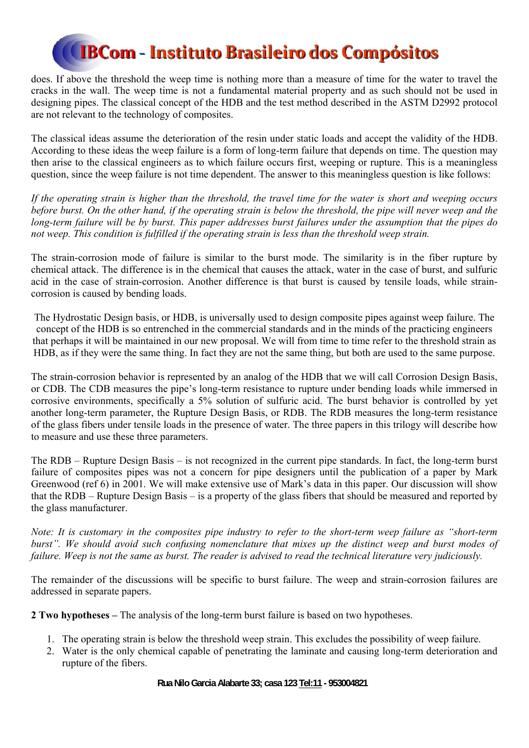does. If above the threshold the weep time is nothing more than a measure of time for the water to travel the cracks in the wall. The weep time is not a fundamental material property and as such should not be used in designing pipes. The classical concept of the HDB and the test method described in the ASTM D2992 protocol are not relevant to the technology of composites.

The classical ideas assume the deterioration of the resin under static loads and accept the validity of the HDB. According to these ideas the weep failure is a form of long-term failure that depends on time. The question may then arise to the classical engineers as to which failure occurs first, weeping or rupture. This is a meaningless question, since the weep failure is not time dependent. The answer to this meaningless question is like follows:

*If the operating strain is higher than the threshold, the travel time for the water is short and weeping occurs before burst. On the other hand, if the operating strain is below the threshold, the pipe will never weep and the long-term failure will be by burst. This paper addresses burst failures under the assumption that the pipes do not weep. This condition is fulfilled if the operating strain is less than the threshold weep strain.* 

The strain-corrosion mode of failure is similar to the burst mode. The similarity is in the fiber rupture by chemical attack. The difference is in the chemical that causes the attack, water in the case of burst, and sulfuric acid in the case of strain-corrosion. Another difference is that burst is caused by tensile loads, while straincorrosion is caused by bending loads.

The Hydrostatic Design basis, or HDB, is universally used to design composite pipes against weep failure. The concept of the HDB is so entrenched in the commercial standards and in the minds of the practicing engineers that perhaps it will be maintained in our new proposal. We will from time to time refer to the threshold strain as HDB, as if they were the same thing. In fact they are not the same thing, but both are used to the same purpose.

The strain-corrosion behavior is represented by an analog of the HDB that we will call Corrosion Design Basis, or CDB. The CDB measures the pipe's long-term resistance to rupture under bending loads while immersed in corrosive environments, specifically a 5% solution of sulfuric acid. The burst behavior is controlled by yet another long-term parameter, the Rupture Design Basis, or RDB. The RDB measures the long-term resistance of the glass fibers under tensile loads in the presence of water. The three papers in this trilogy will describe how to measure and use these three parameters.

The RDB – Rupture Design Basis – is not recognized in the current pipe standards. In fact, the long-term burst failure of composites pipes was not a concern for pipe designers until the publication of a paper by Mark Greenwood (ref 6) in 2001. We will make extensive use of Mark's data in this paper. Our discussion will show that the RDB – Rupture Design Basis – is a property of the glass fibers that should be measured and reported by the glass manufacturer.

*Note: It is customary in the composites pipe industry to refer to the short-term weep failure as "short-term burst". We should avoid such confusing nomenclature that mixes up the distinct weep and burst modes of failure. Weep is not the same as burst. The reader is advised to read the technical literature very judiciously.* 

The remainder of the discussions will be specific to burst failure. The weep and strain-corrosion failures are addressed in separate papers.

**2 Two hypotheses –** The analysis of the long-term burst failure is based on two hypotheses.

- 1. The operating strain is below the threshold weep strain. This excludes the possibility of weep failure.
- 2. Water is the only chemical capable of penetrating the laminate and causing long-term deterioration and rupture of the fibers.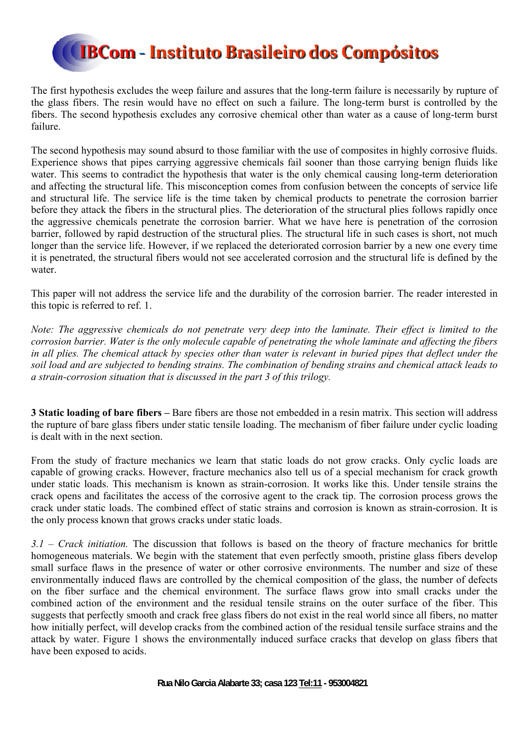

The first hypothesis excludes the weep failure and assures that the long-term failure is necessarily by rupture of the glass fibers. The resin would have no effect on such a failure. The long-term burst is controlled by the fibers. The second hypothesis excludes any corrosive chemical other than water as a cause of long-term burst failure.

The second hypothesis may sound absurd to those familiar with the use of composites in highly corrosive fluids. Experience shows that pipes carrying aggressive chemicals fail sooner than those carrying benign fluids like water. This seems to contradict the hypothesis that water is the only chemical causing long-term deterioration and affecting the structural life. This misconception comes from confusion between the concepts of service life and structural life. The service life is the time taken by chemical products to penetrate the corrosion barrier before they attack the fibers in the structural plies. The deterioration of the structural plies follows rapidly once the aggressive chemicals penetrate the corrosion barrier. What we have here is penetration of the corrosion barrier, followed by rapid destruction of the structural plies. The structural life in such cases is short, not much longer than the service life. However, if we replaced the deteriorated corrosion barrier by a new one every time it is penetrated, the structural fibers would not see accelerated corrosion and the structural life is defined by the water.

This paper will not address the service life and the durability of the corrosion barrier. The reader interested in this topic is referred to ref. 1.

*Note: The aggressive chemicals do not penetrate very deep into the laminate. Their effect is limited to the corrosion barrier. Water is the only molecule capable of penetrating the whole laminate and affecting the fibers in all plies. The chemical attack by species other than water is relevant in buried pipes that deflect under the soil load and are subjected to bending strains. The combination of bending strains and chemical attack leads to a strain-corrosion situation that is discussed in the part 3 of this trilogy.* 

**3 Static loading of bare fibers –** Bare fibers are those not embedded in a resin matrix. This section will address the rupture of bare glass fibers under static tensile loading. The mechanism of fiber failure under cyclic loading is dealt with in the next section.

From the study of fracture mechanics we learn that static loads do not grow cracks. Only cyclic loads are capable of growing cracks. However, fracture mechanics also tell us of a special mechanism for crack growth under static loads. This mechanism is known as strain-corrosion. It works like this. Under tensile strains the crack opens and facilitates the access of the corrosive agent to the crack tip. The corrosion process grows the crack under static loads. The combined effect of static strains and corrosion is known as strain-corrosion. It is the only process known that grows cracks under static loads.

*3.1 – Crack initiation.* The discussion that follows is based on the theory of fracture mechanics for brittle homogeneous materials. We begin with the statement that even perfectly smooth, pristine glass fibers develop small surface flaws in the presence of water or other corrosive environments. The number and size of these environmentally induced flaws are controlled by the chemical composition of the glass, the number of defects on the fiber surface and the chemical environment. The surface flaws grow into small cracks under the combined action of the environment and the residual tensile strains on the outer surface of the fiber. This suggests that perfectly smooth and crack free glass fibers do not exist in the real world since all fibers, no matter how initially perfect, will develop cracks from the combined action of the residual tensile surface strains and the attack by water. Figure 1 shows the environmentally induced surface cracks that develop on glass fibers that have been exposed to acids.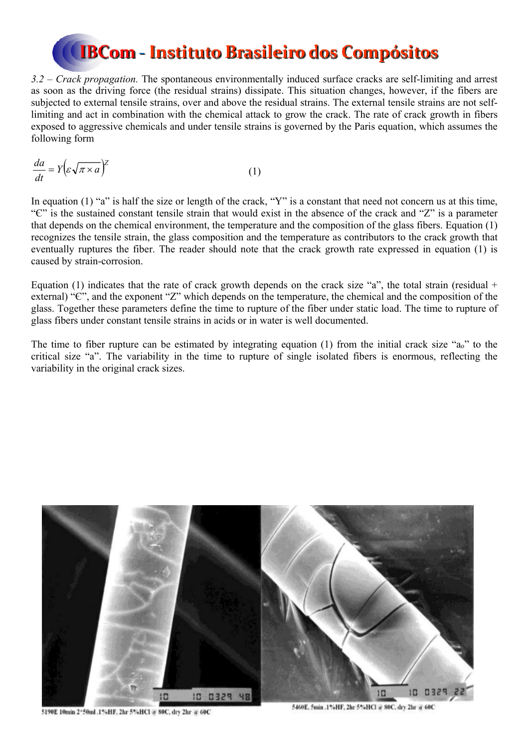*3.2 – Crack propagation.* The spontaneous environmentally induced surface cracks are self-limiting and arrest as soon as the driving force (the residual strains) dissipate. This situation changes, however, if the fibers are subjected to external tensile strains, over and above the residual strains. The external tensile strains are not selflimiting and act in combination with the chemical attack to grow the crack. The rate of crack growth in fibers exposed to aggressive chemicals and under tensile strains is governed by the Paris equation, which assumes the following form

$$
\frac{da}{dt} = Y \left( \varepsilon \sqrt{\pi \times a} \right)^2 \tag{1}
$$

In equation (1) "a" is half the size or length of the crack, "Y" is a constant that need not concern us at this time, "Є" is the sustained constant tensile strain that would exist in the absence of the crack and "Z" is a parameter that depends on the chemical environment, the temperature and the composition of the glass fibers. Equation (1) recognizes the tensile strain, the glass composition and the temperature as contributors to the crack growth that eventually ruptures the fiber. The reader should note that the crack growth rate expressed in equation (1) is caused by strain-corrosion.

Equation (1) indicates that the rate of crack growth depends on the crack size "a", the total strain (residual + external) "Є", and the exponent "Z" which depends on the temperature, the chemical and the composition of the glass. Together these parameters define the time to rupture of the fiber under static load. The time to rupture of glass fibers under constant tensile strains in acids or in water is well documented.

The time to fiber rupture can be estimated by integrating equation (1) from the initial crack size "ao" to the critical size "a". The variability in the time to rupture of single isolated fibers is enormous, reflecting the variability in the original crack sizes.



5190E 10min 2\*50ml .1%HF, 2hr 5%HCl @ 80C, dry 2hr @ 60C

5460E, 5min .1%HF, 2hr 5%HCl @ 80C, dry 2hr @ 60C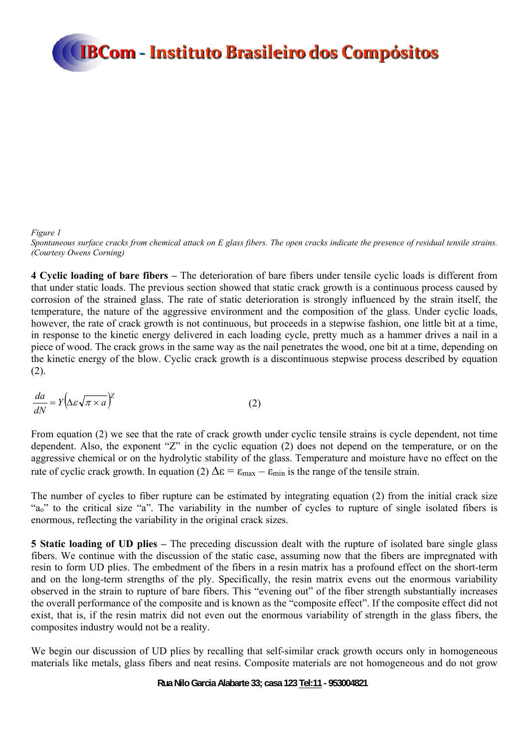#### *Figure 1*

*Spontaneous surface cracks from chemical attack on E glass fibers. The open cracks indicate the presence of residual tensile strains. (Courtesy Owens Corning)* 

**4 Cyclic loading of bare fibers –** The deterioration of bare fibers under tensile cyclic loads is different from that under static loads. The previous section showed that static crack growth is a continuous process caused by corrosion of the strained glass. The rate of static deterioration is strongly influenced by the strain itself, the temperature, the nature of the aggressive environment and the composition of the glass. Under cyclic loads, however, the rate of crack growth is not continuous, but proceeds in a stepwise fashion, one little bit at a time, in response to the kinetic energy delivered in each loading cycle, pretty much as a hammer drives a nail in a piece of wood. The crack grows in the same way as the nail penetrates the wood, one bit at a time, depending on the kinetic energy of the blow. Cyclic crack growth is a discontinuous stepwise process described by equation  $(2)$ .

$$
\frac{da}{dN} = Y \left( \Delta \varepsilon \sqrt{\pi \times a} \right)^{\frac{1}{2}}
$$
 (2)

From equation (2) we see that the rate of crack growth under cyclic tensile strains is cycle dependent, not time dependent. Also, the exponent "Z" in the cyclic equation (2) does not depend on the temperature, or on the aggressive chemical or on the hydrolytic stability of the glass. Temperature and moisture have no effect on the rate of cyclic crack growth. In equation (2)  $\Delta \epsilon = \epsilon_{\text{max}} - \epsilon_{\text{min}}$  is the range of the tensile strain.

The number of cycles to fiber rupture can be estimated by integrating equation (2) from the initial crack size "ao" to the critical size "a". The variability in the number of cycles to rupture of single isolated fibers is enormous, reflecting the variability in the original crack sizes.

**5 Static loading of UD plies –** The preceding discussion dealt with the rupture of isolated bare single glass fibers. We continue with the discussion of the static case, assuming now that the fibers are impregnated with resin to form UD plies. The embedment of the fibers in a resin matrix has a profound effect on the short-term and on the long-term strengths of the ply. Specifically, the resin matrix evens out the enormous variability observed in the strain to rupture of bare fibers. This "evening out" of the fiber strength substantially increases the overall performance of the composite and is known as the "composite effect". If the composite effect did not exist, that is, if the resin matrix did not even out the enormous variability of strength in the glass fibers, the composites industry would not be a reality.

We begin our discussion of UD plies by recalling that self-similar crack growth occurs only in homogeneous materials like metals, glass fibers and neat resins. Composite materials are not homogeneous and do not grow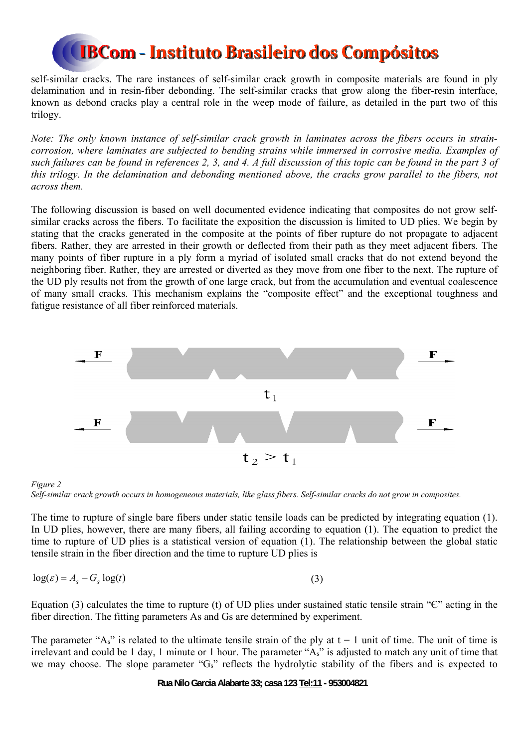self-similar cracks. The rare instances of self-similar crack growth in composite materials are found in ply delamination and in resin-fiber debonding. The self-similar cracks that grow along the fiber-resin interface, known as debond cracks play a central role in the weep mode of failure, as detailed in the part two of this trilogy.

*Note: The only known instance of self-similar crack growth in laminates across the fibers occurs in straincorrosion, where laminates are subjected to bending strains while immersed in corrosive media. Examples of such failures can be found in references 2, 3, and 4. A full discussion of this topic can be found in the part 3 of this trilogy. In the delamination and debonding mentioned above, the cracks grow parallel to the fibers, not across them.* 

The following discussion is based on well documented evidence indicating that composites do not grow selfsimilar cracks across the fibers. To facilitate the exposition the discussion is limited to UD plies. We begin by stating that the cracks generated in the composite at the points of fiber rupture do not propagate to adjacent fibers. Rather, they are arrested in their growth or deflected from their path as they meet adjacent fibers. The many points of fiber rupture in a ply form a myriad of isolated small cracks that do not extend beyond the neighboring fiber. Rather, they are arrested or diverted as they move from one fiber to the next. The rupture of the UD ply results not from the growth of one large crack, but from the accumulation and eventual coalescence of many small cracks. This mechanism explains the "composite effect" and the exceptional toughness and fatigue resistance of all fiber reinforced materials.





The time to rupture of single bare fibers under static tensile loads can be predicted by integrating equation (1). In UD plies, however, there are many fibers, all failing according to equation (1). The equation to predict the time to rupture of UD plies is a statistical version of equation (1). The relationship between the global static tensile strain in the fiber direction and the time to rupture UD plies is

$$
\log(\varepsilon) = A_s - G_s \log(t) \tag{3}
$$

Equation (3) calculates the time to rupture (t) of UD plies under sustained static tensile strain " $\mathbb{C}$ " acting in the fiber direction. The fitting parameters As and Gs are determined by experiment.

The parameter "As" is related to the ultimate tensile strain of the ply at  $t = 1$  unit of time. The unit of time is irrelevant and could be 1 day, 1 minute or 1 hour. The parameter "As" is adjusted to match any unit of time that we may choose. The slope parameter "Gs" reflects the hydrolytic stability of the fibers and is expected to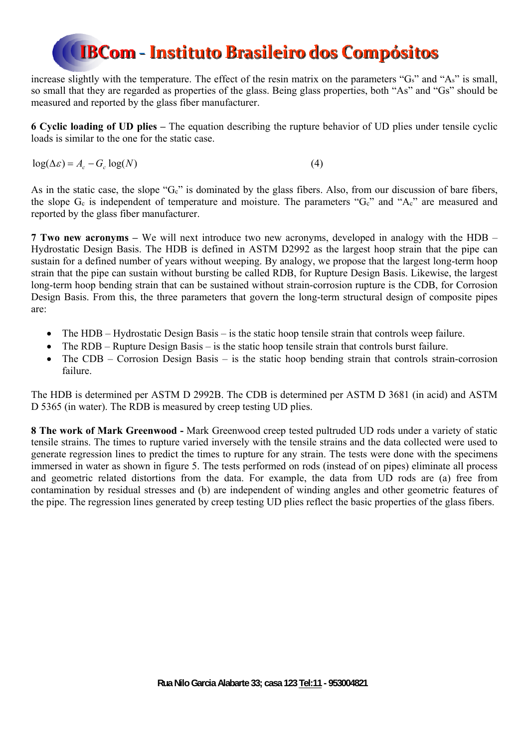increase slightly with the temperature. The effect of the resin matrix on the parameters "Gs" and "As" is small, so small that they are regarded as properties of the glass. Being glass properties, both "As" and "Gs" should be measured and reported by the glass fiber manufacturer.

**6 Cyclic loading of UD plies –** The equation describing the rupture behavior of UD plies under tensile cyclic loads is similar to the one for the static case.

 $\log(\Delta \varepsilon) = A_c - G_c \log(N)$  (4)

As in the static case, the slope "Gc" is dominated by the glass fibers. Also, from our discussion of bare fibers, the slope Gc is independent of temperature and moisture. The parameters "Gc" and "Ac" are measured and reported by the glass fiber manufacturer.

**7 Two new acronyms –** We will next introduce two new acronyms, developed in analogy with the HDB – Hydrostatic Design Basis. The HDB is defined in ASTM D2992 as the largest hoop strain that the pipe can sustain for a defined number of years without weeping. By analogy, we propose that the largest long-term hoop strain that the pipe can sustain without bursting be called RDB, for Rupture Design Basis. Likewise, the largest long-term hoop bending strain that can be sustained without strain-corrosion rupture is the CDB, for Corrosion Design Basis. From this, the three parameters that govern the long-term structural design of composite pipes are:

- The HDB Hydrostatic Design Basis is the static hoop tensile strain that controls weep failure.
- The RDB Rupture Design Basis is the static hoop tensile strain that controls burst failure.
- The CDB Corrosion Design Basis is the static hoop bending strain that controls strain-corrosion failure.

The HDB is determined per ASTM D 2992B. The CDB is determined per ASTM D 3681 (in acid) and ASTM D 5365 (in water). The RDB is measured by creep testing UD plies.

**8 The work of Mark Greenwood -** Mark Greenwood creep tested pultruded UD rods under a variety of static tensile strains. The times to rupture varied inversely with the tensile strains and the data collected were used to generate regression lines to predict the times to rupture for any strain. The tests were done with the specimens immersed in water as shown in figure 5. The tests performed on rods (instead of on pipes) eliminate all process and geometric related distortions from the data. For example, the data from UD rods are (a) free from contamination by residual stresses and (b) are independent of winding angles and other geometric features of the pipe. The regression lines generated by creep testing UD plies reflect the basic properties of the glass fibers.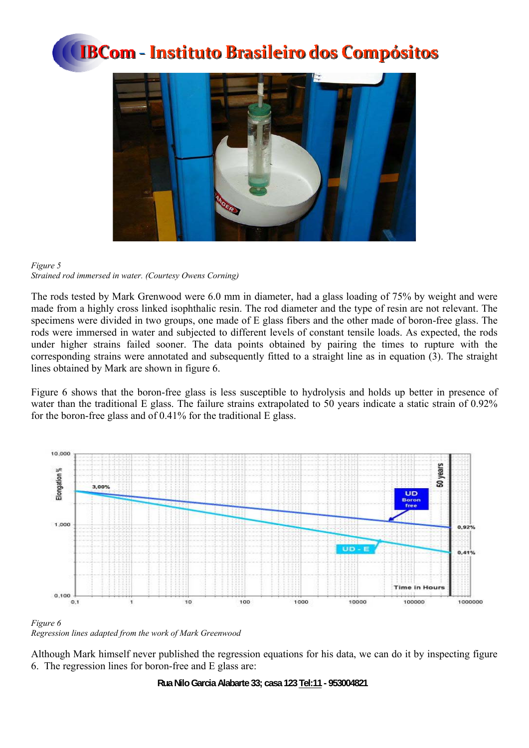



### *Figure 5 Strained rod immersed in water. (Courtesy Owens Corning)*

The rods tested by Mark Grenwood were 6.0 mm in diameter, had a glass loading of 75% by weight and were made from a highly cross linked isophthalic resin. The rod diameter and the type of resin are not relevant. The specimens were divided in two groups, one made of E glass fibers and the other made of boron-free glass. The rods were immersed in water and subjected to different levels of constant tensile loads. As expected, the rods under higher strains failed sooner. The data points obtained by pairing the times to rupture with the corresponding strains were annotated and subsequently fitted to a straight line as in equation (3). The straight lines obtained by Mark are shown in figure 6.

Figure 6 shows that the boron-free glass is less susceptible to hydrolysis and holds up better in presence of water than the traditional E glass. The failure strains extrapolated to 50 years indicate a static strain of 0.92% for the boron-free glass and of 0.41% for the traditional E glass.



#### *Figure 6 Regression lines adapted from the work of Mark Greenwood*

Although Mark himself never published the regression equations for his data, we can do it by inspecting figure 6. The regression lines for boron-free and E glass are: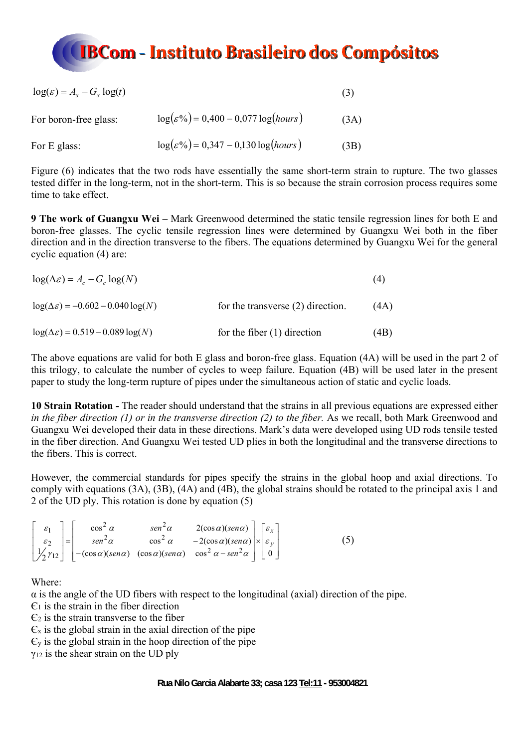

| $\log(\varepsilon) = A_s - G_s \log(t)$ |                                                 | (3)  |
|-----------------------------------------|-------------------------------------------------|------|
| For boron-free glass:                   | $\log(\varepsilon\%)=0,400-0,077\log(hours)$    | (3A) |
| For E glass:                            | $log(\varepsilon\%) = 0,347 - 0,130 log(hours)$ | (3B) |

Figure (6) indicates that the two rods have essentially the same short-term strain to rupture. The two glasses tested differ in the long-term, not in the short-term. This is so because the strain corrosion process requires some time to take effect.

**9 The work of Guangxu Wei –** Mark Greenwood determined the static tensile regression lines for both E and boron-free glasses. The cyclic tensile regression lines were determined by Guangxu Wei both in the fiber direction and in the direction transverse to the fibers. The equations determined by Guangxu Wei for the general cyclic equation (4) are:

| $\log(\Delta \varepsilon) = A_c - G_c \log(N)$    |                                   | (4)  |
|---------------------------------------------------|-----------------------------------|------|
| $log(\Delta \varepsilon) = -0.602 - 0.040 log(N)$ | for the transverse (2) direction. | (4A) |
| $log(\Delta \varepsilon) = 0.519 - 0.089 log(N)$  | for the fiber $(1)$ direction     | (4B) |

The above equations are valid for both E glass and boron-free glass. Equation (4A) will be used in the part 2 of this trilogy, to calculate the number of cycles to weep failure. Equation (4B) will be used later in the present paper to study the long-term rupture of pipes under the simultaneous action of static and cyclic loads.

**10 Strain Rotation -** The reader should understand that the strains in all previous equations are expressed either *in the fiber direction (1) or in the transverse direction (2) to the fiber.* As we recall, both Mark Greenwood and Guangxu Wei developed their data in these directions. Mark's data were developed using UD rods tensile tested in the fiber direction. And Guangxu Wei tested UD plies in both the longitudinal and the transverse directions to the fibers. This is correct.

However, the commercial standards for pipes specify the strains in the global hoop and axial directions. To comply with equations (3A), (3B), (4A) and (4B), the global strains should be rotated to the principal axis 1 and 2 of the UD ply. This rotation is done by equation (5)

| $\mathscr{E}_1$ . | $\cos^2 \alpha$ | $\sin^2 \alpha$ | $2(\cos\alpha)(\sin\alpha)$ $\left[\varepsilon_x\right]$                                                                                                                                                                                                                                                                              |  |  |
|-------------------|-----------------|-----------------|---------------------------------------------------------------------------------------------------------------------------------------------------------------------------------------------------------------------------------------------------------------------------------------------------------------------------------------|--|--|
|                   |                 |                 | $\cos^2 \alpha$ $-2(\cos \alpha)(\sin \alpha) \times \epsilon_y$                                                                                                                                                                                                                                                                      |  |  |
|                   |                 |                 | $\begin{bmatrix} \varepsilon_2 \\ y'_2 \gamma_{12} \end{bmatrix} = \begin{bmatrix} \varepsilon_2 \\ -(\cos \alpha)(\sin \alpha) & \cos^2 \alpha & -2(\cos \alpha)(\sin \alpha) \\ -(\cos \alpha)(\sin \alpha) & \cos^2 \alpha - \sin^2 \alpha \end{bmatrix} \times \begin{bmatrix} \varepsilon_y \\ \varepsilon_y \\ 0 \end{bmatrix}$ |  |  |

Where:

 $\alpha$  is the angle of the UD fibers with respect to the longitudinal (axial) direction of the pipe.

 $\mathcal{C}_1$  is the strain in the fiber direction

 $\epsilon$ <sub>2</sub> is the strain transverse to the fiber

 $\epsilon_{\rm x}$  is the global strain in the axial direction of the pipe

 $\epsilon$ <sub>y</sub> is the global strain in the hoop direction of the pipe

γ12 is the shear strain on the UD ply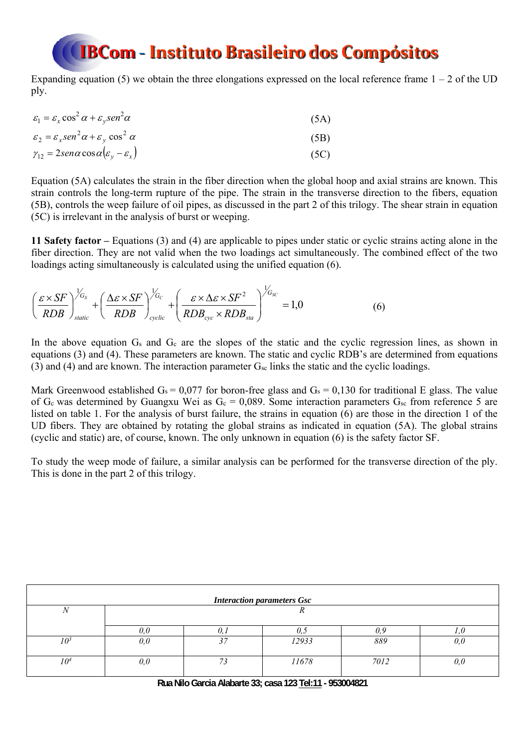Expanding equation (5) we obtain the three elongations expressed on the local reference frame  $1 - 2$  of the UD ply.

| $\varepsilon_1 = \varepsilon_x \cos^2 \alpha + \varepsilon_v \sin^2 \alpha$ | (5A) |
|-----------------------------------------------------------------------------|------|
| $\varepsilon_2 = \varepsilon_x \sin^2 \alpha + \varepsilon_y \cos^2 \alpha$ | (5B) |
| $\gamma_{12} = 2$ sen $\alpha$ cos $\alpha(\varepsilon_v - \varepsilon_x)$  | (5C) |

Equation (5A) calculates the strain in the fiber direction when the global hoop and axial strains are known. This strain controls the long-term rupture of the pipe. The strain in the transverse direction to the fibers, equation (5B), controls the weep failure of oil pipes, as discussed in the part 2 of this trilogy. The shear strain in equation (5C) is irrelevant in the analysis of burst or weeping.

**11 Safety factor –** Equations (3) and (4) are applicable to pipes under static or cyclic strains acting alone in the fiber direction. They are not valid when the two loadings act simultaneously. The combined effect of the two loadings acting simultaneously is calculated using the unified equation (6).

$$
\left(\frac{\varepsilon \times SF}{RDB}\right)_{static}^{V_{G_s}} + \left(\frac{\Delta \varepsilon \times SF}{RDB}\right)_{cyclic}^{V_{G_c}} + \left(\frac{\varepsilon \times \Delta \varepsilon \times SF^2}{RDB_{cyc} \times RDB_{sta}}\right)^{V_{G_{SC}}} = 1,0
$$
\n(6)

In the above equation G<sub>s</sub> and G<sub>c</sub> are the slopes of the static and the cyclic regression lines, as shown in equations (3) and (4). These parameters are known. The static and cyclic RDB's are determined from equations (3) and (4) and are known. The interaction parameter  $G_{\rm sc}$  links the static and the cyclic loadings.

Mark Greenwood established  $G_s = 0.077$  for boron-free glass and  $G_s = 0.130$  for traditional E glass. The value of G<sub>c</sub> was determined by Guangxu Wei as  $G_c = 0.089$ . Some interaction parameters  $G_{sc}$  from reference 5 are listed on table 1. For the analysis of burst failure, the strains in equation (6) are those in the direction 1 of the UD fibers. They are obtained by rotating the global strains as indicated in equation (5A). The global strains (cyclic and static) are, of course, known. The only unknown in equation (6) is the safety factor SF.

To study the weep mode of failure, a similar analysis can be performed for the transverse direction of the ply. This is done in the part 2 of this trilogy.

|     |     |    | <b>Interaction parameters Gsc</b> |              |     |
|-----|-----|----|-----------------------------------|--------------|-----|
| IV  |     |    |                                   |              |     |
|     | 0.0 |    |                                   | $\partial_y$ |     |
| 10ª | 0,0 | 27 | 12933                             | 889          | 0,0 |
| 104 | 0,0 | 72 | 11678                             | 7012         | 0,0 |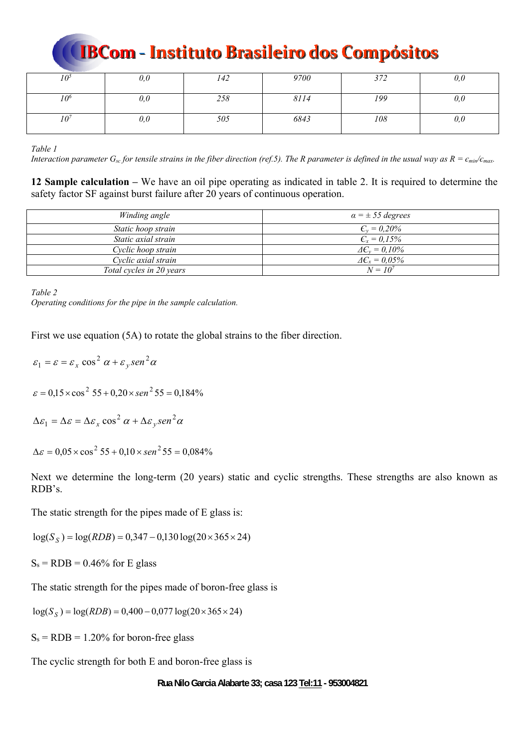| 10°             | $_{\it 0,0}$ | 142 | 9700 | 372 | U, U |
|-----------------|--------------|-----|------|-----|------|
| 10 <sup>6</sup> | 0,0          | 258 | 8114 | 199 | 0,0  |
| 10 <sup>7</sup> | $_{0,0}$     | 505 | 6843 | 108 | U, U |

*Table 1* 

*Interaction parameter G<sub>sc</sub> for tensile strains in the fiber direction (ref.5). The R parameter is defined in the usual way as*  $R = \epsilon_{min}/\epsilon_{max}$ *.* 

**12 Sample calculation –** We have an oil pipe operating as indicated in table 2. It is required to determine the safety factor SF against burst failure after 20 years of continuous operation.

| Winding angle            | $\alpha = \pm 55$ degrees |
|--------------------------|---------------------------|
| Static hoop strain       | $C_v = 0.20\%$            |
| Static axial strain      | $C_x = 0.15\%$            |
| Cyclic hoop strain       | $\Delta C_v = 0.10\%$     |
| Cyclic axial strain      | $\Delta C_r = 0.05\%$     |
| Total cycles in 20 years | $N = 10^{7}$              |

*Table 2* 

*Operating conditions for the pipe in the sample calculation.* 

First we use equation (5A) to rotate the global strains to the fiber direction.

 $\varepsilon_1 = \varepsilon = \varepsilon_x \cos^2 \alpha + \varepsilon_y \sin^2 \alpha$  $\varepsilon = 0.15 \times \cos^2 55 + 0.20 \times \sin^2 55 = 0.184\%$  $\Delta \varepsilon_1 = \Delta \varepsilon = \Delta \varepsilon_x \cos^2 \alpha + \Delta \varepsilon_y \sin^2 \alpha$  $\Delta \varepsilon = 0.05 \times \cos^2 55 + 0.10 \times \sin^2 55 = 0.084\%$ 

Next we determine the long-term (20 years) static and cyclic strengths. These strengths are also known as RDB's.

The static strength for the pipes made of E glass is:

 $log(S_s) = log(RDB) = 0,347 - 0,130 log(20 \times 365 \times 24)$ 

 $S_s = RDB = 0.46\%$  for E glass

The static strength for the pipes made of boron-free glass is

 $log(S_S) = log(RDB) = 0,400 - 0,077 log(20 \times 365 \times 24)$ 

 $S_s = RDB = 1.20\%$  for boron-free glass

The cyclic strength for both E and boron-free glass is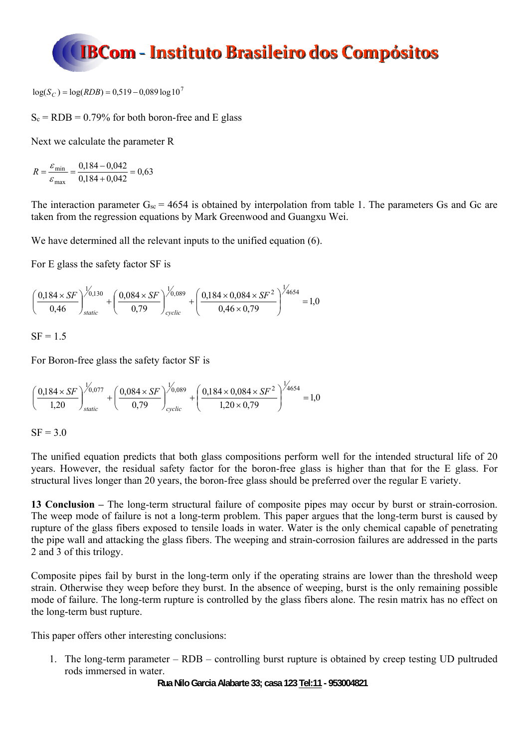

 $log(S_C) = log(RDB) = 0.519 - 0.089 log 10^7$ 

 $S_c = RDB = 0.79\%$  for both boron-free and E glass

Next we calculate the parameter R

$$
R = \frac{\varepsilon_{\text{min}}}{\varepsilon_{\text{max}}} = \frac{0,184 - 0,042}{0,184 + 0,042} = 0,63
$$

The interaction parameter  $G_{sc} = 4654$  is obtained by interpolation from table 1. The parameters Gs and Gc are taken from the regression equations by Mark Greenwood and Guangxu Wei.

We have determined all the relevant inputs to the unified equation (6).

For E glass the safety factor SF is

$$
\left(\frac{0,184\times SF}{0,46}\right)^{1/0,130}_{static} + \left(\frac{0,084\times SF}{0,79}\right)^{1/0,089}_{cyclic} + \left(\frac{0,184\times0,084\times SF^2}{0,46\times0,79}\right)^{1/4654} = 1,0
$$

 $SF = 1.5$ 

For Boron-free glass the safety factor SF is

$$
\left(\frac{0,184\times SF}{1,20}\right)^{1/0,077}_{static} + \left(\frac{0,084\times SF}{0,79}\right)^{1/0,089}_{cyclic} + \left(\frac{0,184\times0,084\times SF^2}{1,20\times0,79}\right)^{1/4654} = 1,0
$$

 $SF = 3.0$ 

The unified equation predicts that both glass compositions perform well for the intended structural life of 20 years. However, the residual safety factor for the boron-free glass is higher than that for the E glass. For structural lives longer than 20 years, the boron-free glass should be preferred over the regular E variety.

**13 Conclusion –** The long-term structural failure of composite pipes may occur by burst or strain-corrosion. The weep mode of failure is not a long-term problem. This paper argues that the long-term burst is caused by rupture of the glass fibers exposed to tensile loads in water. Water is the only chemical capable of penetrating the pipe wall and attacking the glass fibers. The weeping and strain-corrosion failures are addressed in the parts 2 and 3 of this trilogy.

Composite pipes fail by burst in the long-term only if the operating strains are lower than the threshold weep strain. Otherwise they weep before they burst. In the absence of weeping, burst is the only remaining possible mode of failure. The long-term rupture is controlled by the glass fibers alone. The resin matrix has no effect on the long-term bust rupture.

This paper offers other interesting conclusions:

1. The long-term parameter – RDB – controlling burst rupture is obtained by creep testing UD pultruded rods immersed in water.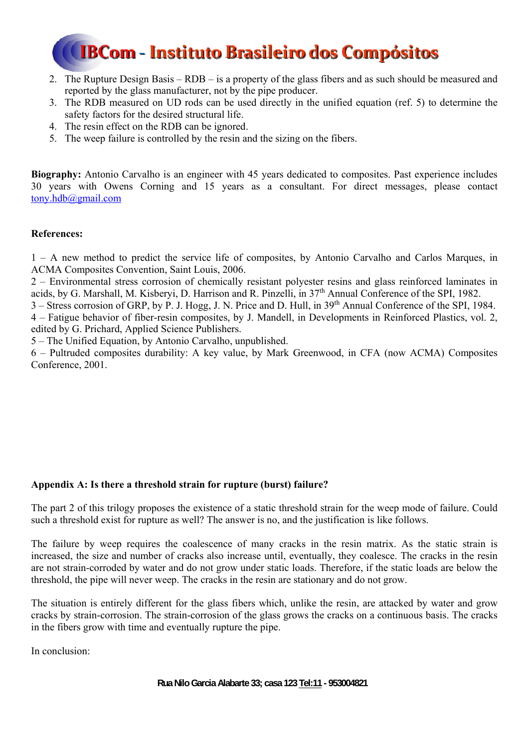- 2. The Rupture Design Basis RDB is a property of the glass fibers and as such should be measured and reported by the glass manufacturer, not by the pipe producer.
- 3. The RDB measured on UD rods can be used directly in the unified equation (ref. 5) to determine the safety factors for the desired structural life.
- 4. The resin effect on the RDB can be ignored.
- 5. The weep failure is controlled by the resin and the sizing on the fibers.

**Biography:** Antonio Carvalho is an engineer with 45 years dedicated to composites. Past experience includes 30 years with Owens Corning and 15 years as a consultant. For direct messages, please contact tony.hdb@gmail.com

### **References:**

1 – A new method to predict the service life of composites, by Antonio Carvalho and Carlos Marques, in ACMA Composites Convention, Saint Louis, 2006.

2 – Environmental stress corrosion of chemically resistant polyester resins and glass reinforced laminates in acids, by G. Marshall, M. Kisberyi, D. Harrison and R. Pinzelli, in 37th Annual Conference of the SPI, 1982.

3 – Stress corrosion of GRP, by P. J. Hogg, J. N. Price and D. Hull, in 39th Annual Conference of the SPI, 1984. 4 – Fatigue behavior of fiber-resin composites, by J. Mandell, in Developments in Reinforced Plastics, vol. 2, edited by G. Prichard, Applied Science Publishers.

5 – The Unified Equation, by Antonio Carvalho, unpublished.

6 – Pultruded composites durability: A key value, by Mark Greenwood, in CFA (now ACMA) Composites Conference, 2001.

### **Appendix A: Is there a threshold strain for rupture (burst) failure?**

The part 2 of this trilogy proposes the existence of a static threshold strain for the weep mode of failure. Could such a threshold exist for rupture as well? The answer is no, and the justification is like follows.

The failure by weep requires the coalescence of many cracks in the resin matrix. As the static strain is increased, the size and number of cracks also increase until, eventually, they coalesce. The cracks in the resin are not strain-corroded by water and do not grow under static loads. Therefore, if the static loads are below the threshold, the pipe will never weep. The cracks in the resin are stationary and do not grow.

The situation is entirely different for the glass fibers which, unlike the resin, are attacked by water and grow cracks by strain-corrosion. The strain-corrosion of the glass grows the cracks on a continuous basis. The cracks in the fibers grow with time and eventually rupture the pipe.

In conclusion: